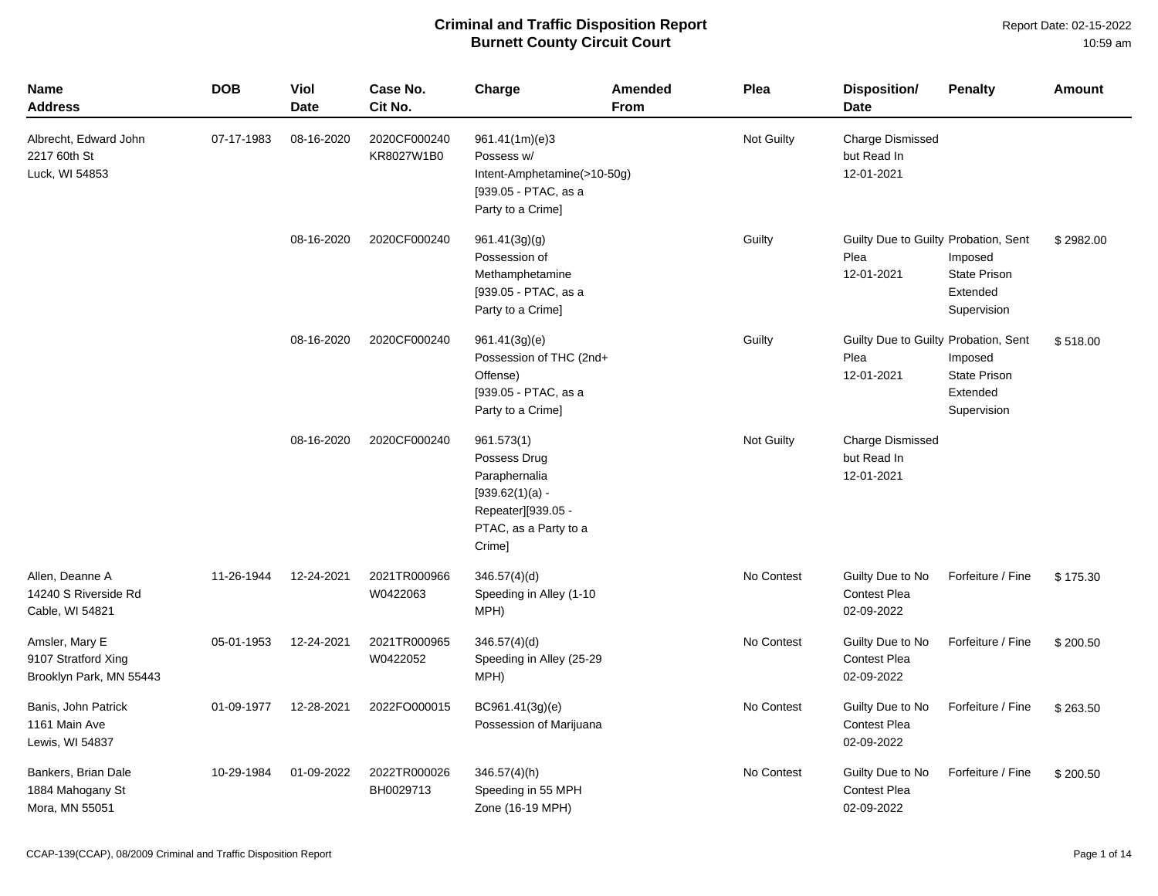| <b>Name</b><br>Address                                           | <b>DOB</b> | Viol<br><b>Date</b> | Case No.<br>Cit No.        | Charge                                                                                                                    | <b>Amended</b><br><b>From</b> | Plea              | <b>Disposition/</b><br>Date                                | <b>Penalty</b>                                            | Amount    |
|------------------------------------------------------------------|------------|---------------------|----------------------------|---------------------------------------------------------------------------------------------------------------------------|-------------------------------|-------------------|------------------------------------------------------------|-----------------------------------------------------------|-----------|
| Albrecht, Edward John<br>2217 60th St<br>Luck, WI 54853          | 07-17-1983 | 08-16-2020          | 2020CF000240<br>KR8027W1B0 | 961.41(1m)(e)3<br>Possess w/<br>Intent-Amphetamine(>10-50g)<br>[939.05 - PTAC, as a<br>Party to a Crime]                  |                               | <b>Not Guilty</b> | <b>Charge Dismissed</b><br>but Read In<br>12-01-2021       |                                                           |           |
|                                                                  |            | 08-16-2020          | 2020CF000240               | 961.41(3g)(g)<br>Possession of<br>Methamphetamine<br>[939.05 - PTAC, as a<br>Party to a Crime]                            |                               | Guilty            | Guilty Due to Guilty Probation, Sent<br>Plea<br>12-01-2021 | Imposed<br><b>State Prison</b><br>Extended<br>Supervision | \$2982.00 |
|                                                                  |            | 08-16-2020          | 2020CF000240               | 961.41(3g)(e)<br>Possession of THC (2nd+<br>Offense)<br>[939.05 - PTAC, as a<br>Party to a Crime]                         |                               | Guilty            | Guilty Due to Guilty Probation, Sent<br>Plea<br>12-01-2021 | Imposed<br>State Prison<br>Extended<br>Supervision        | \$518.00  |
|                                                                  |            | 08-16-2020          | 2020CF000240               | 961.573(1)<br>Possess Drug<br>Paraphernalia<br>$[939.62(1)(a) -$<br>Repeater][939.05 -<br>PTAC, as a Party to a<br>Crime] |                               | Not Guilty        | <b>Charge Dismissed</b><br>but Read In<br>12-01-2021       |                                                           |           |
| Allen, Deanne A<br>14240 S Riverside Rd<br>Cable, WI 54821       | 11-26-1944 | 12-24-2021          | 2021TR000966<br>W0422063   | 346.57(4)(d)<br>Speeding in Alley (1-10<br>MPH)                                                                           |                               | No Contest        | Guilty Due to No<br><b>Contest Plea</b><br>02-09-2022      | Forfeiture / Fine                                         | \$175.30  |
| Amsler, Mary E<br>9107 Stratford Xing<br>Brooklyn Park, MN 55443 | 05-01-1953 | 12-24-2021          | 2021TR000965<br>W0422052   | 346.57(4)(d)<br>Speeding in Alley (25-29<br>MPH)                                                                          |                               | No Contest        | Guilty Due to No<br>Contest Plea<br>02-09-2022             | Forfeiture / Fine                                         | \$200.50  |
| Banis, John Patrick<br>1161 Main Ave<br>Lewis, WI 54837          | 01-09-1977 | 12-28-2021          | 2022FO000015               | BC961.41(3g)(e)<br>Possession of Marijuana                                                                                |                               | No Contest        | Guilty Due to No<br><b>Contest Plea</b><br>02-09-2022      | Forfeiture / Fine                                         | \$263.50  |
| Bankers, Brian Dale<br>1884 Mahogany St<br>Mora, MN 55051        | 10-29-1984 | 01-09-2022          | 2022TR000026<br>BH0029713  | $346.57(4)$ (h)<br>Speeding in 55 MPH<br>Zone (16-19 MPH)                                                                 |                               | No Contest        | Guilty Due to No<br><b>Contest Plea</b><br>02-09-2022      | Forfeiture / Fine                                         | \$200.50  |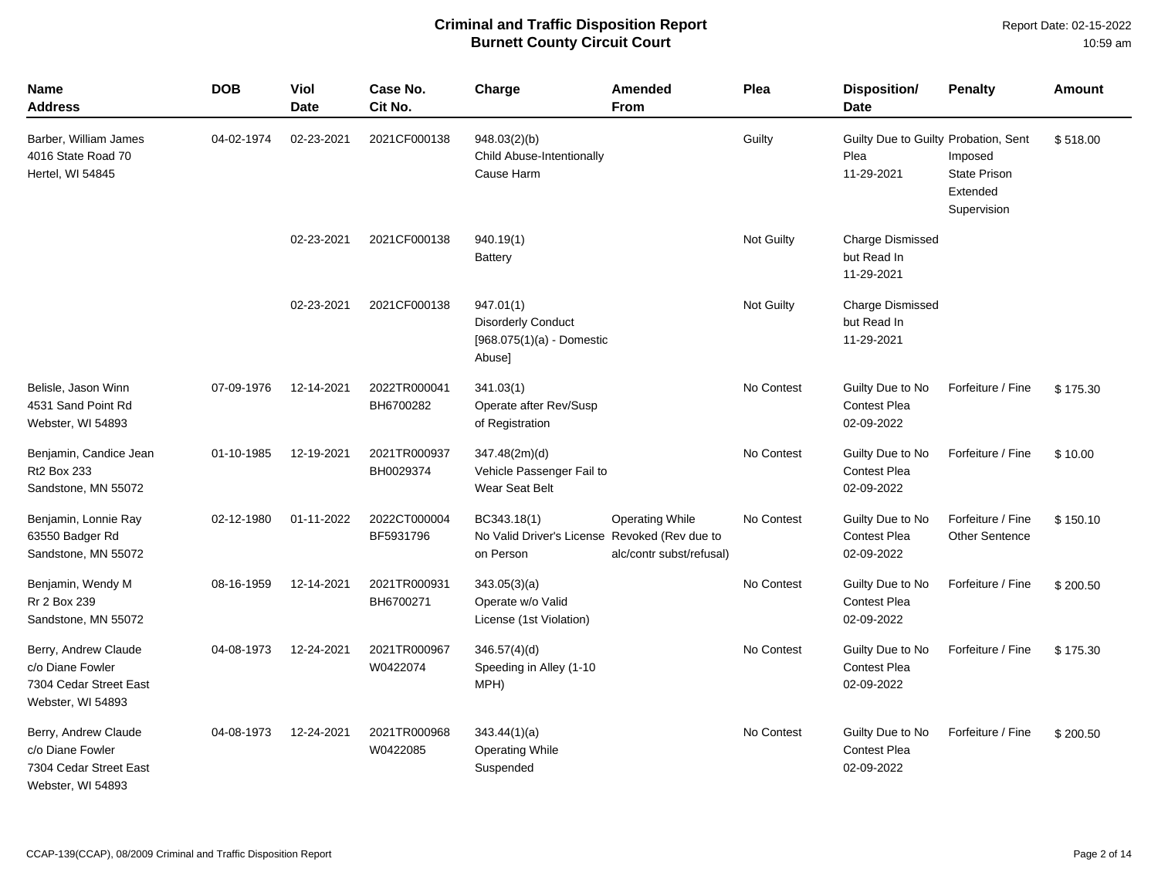| <b>Name</b><br>Address                                                                  | <b>DOB</b> | Viol<br><b>Date</b> | Case No.<br>Cit No.       | Charge                                                                          | Amended<br><b>From</b>                             | Plea       | <b>Disposition/</b><br><b>Date</b>                         | <b>Penalty</b>                                            | <b>Amount</b> |
|-----------------------------------------------------------------------------------------|------------|---------------------|---------------------------|---------------------------------------------------------------------------------|----------------------------------------------------|------------|------------------------------------------------------------|-----------------------------------------------------------|---------------|
| Barber, William James<br>4016 State Road 70<br>Hertel, WI 54845                         | 04-02-1974 | 02-23-2021          | 2021CF000138              | 948.03(2)(b)<br>Child Abuse-Intentionally<br>Cause Harm                         |                                                    | Guilty     | Guilty Due to Guilty Probation, Sent<br>Plea<br>11-29-2021 | Imposed<br><b>State Prison</b><br>Extended<br>Supervision | \$518.00      |
|                                                                                         |            | 02-23-2021          | 2021CF000138              | 940.19(1)<br>Battery                                                            |                                                    | Not Guilty | <b>Charge Dismissed</b><br>but Read In<br>11-29-2021       |                                                           |               |
|                                                                                         |            | 02-23-2021          | 2021CF000138              | 947.01(1)<br><b>Disorderly Conduct</b><br>$[968.075(1)(a) -$ Domestic<br>Abuse] |                                                    | Not Guilty | <b>Charge Dismissed</b><br>but Read In<br>11-29-2021       |                                                           |               |
| Belisle, Jason Winn<br>4531 Sand Point Rd<br>Webster, WI 54893                          | 07-09-1976 | 12-14-2021          | 2022TR000041<br>BH6700282 | 341.03(1)<br>Operate after Rev/Susp<br>of Registration                          |                                                    | No Contest | Guilty Due to No<br><b>Contest Plea</b><br>02-09-2022      | Forfeiture / Fine                                         | \$175.30      |
| Benjamin, Candice Jean<br><b>Rt2 Box 233</b><br>Sandstone, MN 55072                     | 01-10-1985 | 12-19-2021          | 2021TR000937<br>BH0029374 | 347.48(2m)(d)<br>Vehicle Passenger Fail to<br>Wear Seat Belt                    |                                                    | No Contest | Guilty Due to No<br><b>Contest Plea</b><br>02-09-2022      | Forfeiture / Fine                                         | \$10.00       |
| Benjamin, Lonnie Ray<br>63550 Badger Rd<br>Sandstone, MN 55072                          | 02-12-1980 | 01-11-2022          | 2022CT000004<br>BF5931796 | BC343.18(1)<br>No Valid Driver's License Revoked (Rev due to<br>on Person       | <b>Operating While</b><br>alc/contr subst/refusal) | No Contest | Guilty Due to No<br><b>Contest Plea</b><br>02-09-2022      | Forfeiture / Fine<br><b>Other Sentence</b>                | \$150.10      |
| Benjamin, Wendy M<br>Rr 2 Box 239<br>Sandstone, MN 55072                                | 08-16-1959 | 12-14-2021          | 2021TR000931<br>BH6700271 | 343.05(3)(a)<br>Operate w/o Valid<br>License (1st Violation)                    |                                                    | No Contest | Guilty Due to No<br>Contest Plea<br>02-09-2022             | Forfeiture / Fine                                         | \$200.50      |
| Berry, Andrew Claude<br>c/o Diane Fowler<br>7304 Cedar Street East<br>Webster, WI 54893 | 04-08-1973 | 12-24-2021          | 2021TR000967<br>W0422074  | 346.57(4)(d)<br>Speeding in Alley (1-10<br>MPH)                                 |                                                    | No Contest | Guilty Due to No<br><b>Contest Plea</b><br>02-09-2022      | Forfeiture / Fine                                         | \$175.30      |
| Berry, Andrew Claude<br>c/o Diane Fowler<br>7304 Cedar Street East<br>Webster, WI 54893 | 04-08-1973 | 12-24-2021          | 2021TR000968<br>W0422085  | 343.44(1)(a)<br><b>Operating While</b><br>Suspended                             |                                                    | No Contest | Guilty Due to No<br><b>Contest Plea</b><br>02-09-2022      | Forfeiture / Fine                                         | \$200.50      |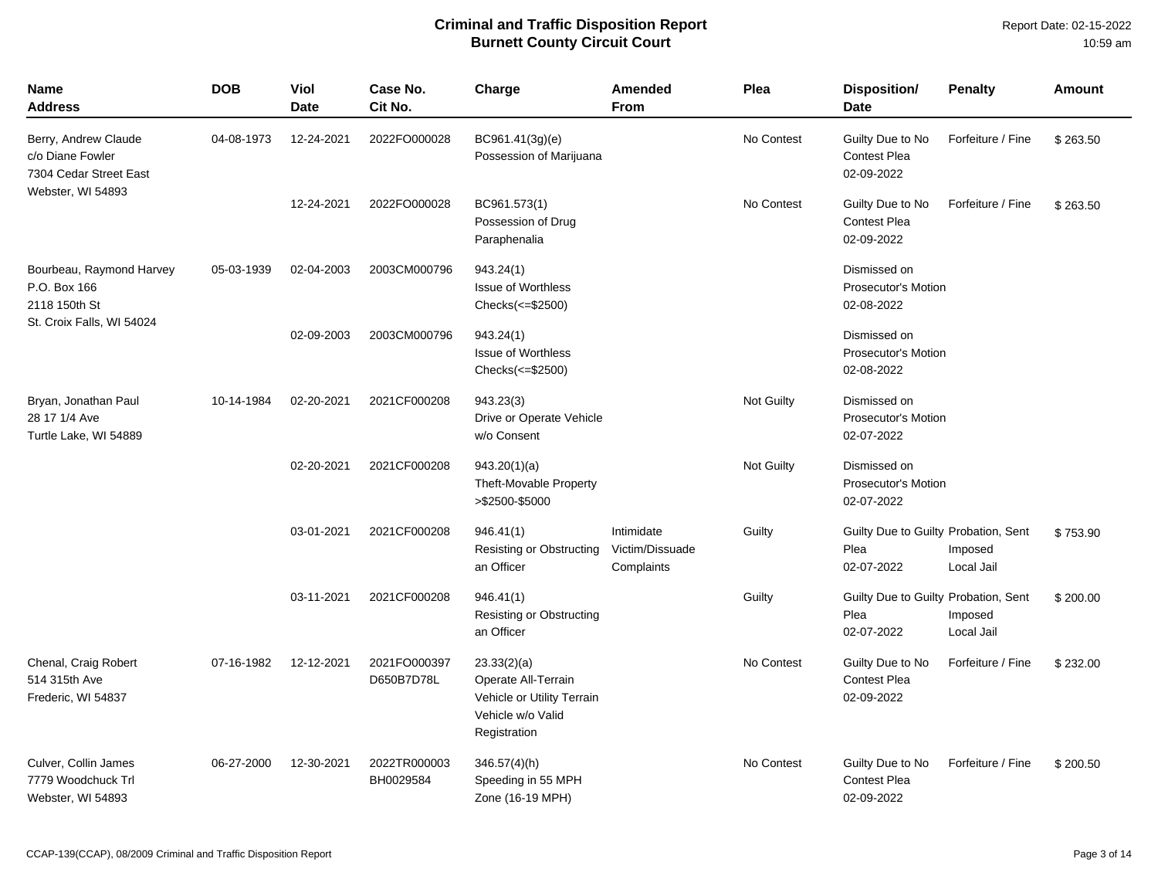| <b>Name</b><br><b>Address</b>                                      | <b>DOB</b> | Viol<br>Date | Case No.<br>Cit No.        | Charge                                                                                                | Amended<br><b>From</b>                      | Plea              | Disposition/<br><b>Date</b>                                | <b>Penalty</b>        | <b>Amount</b> |
|--------------------------------------------------------------------|------------|--------------|----------------------------|-------------------------------------------------------------------------------------------------------|---------------------------------------------|-------------------|------------------------------------------------------------|-----------------------|---------------|
| Berry, Andrew Claude<br>c/o Diane Fowler<br>7304 Cedar Street East | 04-08-1973 | 12-24-2021   | 2022FO000028               | BC961.41(3g)(e)<br>Possession of Marijuana                                                            |                                             | No Contest        | Guilty Due to No<br><b>Contest Plea</b><br>02-09-2022      | Forfeiture / Fine     | \$263.50      |
| Webster, WI 54893                                                  |            | 12-24-2021   | 2022FO000028               | BC961.573(1)<br>Possession of Drug<br>Paraphenalia                                                    |                                             | No Contest        | Guilty Due to No<br><b>Contest Plea</b><br>02-09-2022      | Forfeiture / Fine     | \$263.50      |
| Bourbeau, Raymond Harvey<br>P.O. Box 166<br>2118 150th St          | 05-03-1939 | 02-04-2003   | 2003CM000796               | 943.24(1)<br><b>Issue of Worthless</b><br>Checks(<=\$2500)                                            |                                             |                   | Dismissed on<br>Prosecutor's Motion<br>02-08-2022          |                       |               |
| St. Croix Falls, WI 54024                                          |            | 02-09-2003   | 2003CM000796               | 943.24(1)<br><b>Issue of Worthless</b><br>Checks(<=\$2500)                                            |                                             |                   | Dismissed on<br>Prosecutor's Motion<br>02-08-2022          |                       |               |
| Bryan, Jonathan Paul<br>28 17 1/4 Ave<br>Turtle Lake, WI 54889     | 10-14-1984 | 02-20-2021   | 2021CF000208               | 943.23(3)<br>Drive or Operate Vehicle<br>w/o Consent                                                  |                                             | <b>Not Guilty</b> | Dismissed on<br>Prosecutor's Motion<br>02-07-2022          |                       |               |
|                                                                    |            | 02-20-2021   | 2021CF000208               | 943.20(1)(a)<br>Theft-Movable Property<br>>\$2500-\$5000                                              |                                             | <b>Not Guilty</b> | Dismissed on<br><b>Prosecutor's Motion</b><br>02-07-2022   |                       |               |
|                                                                    |            | 03-01-2021   | 2021CF000208               | 946.41(1)<br>Resisting or Obstructing<br>an Officer                                                   | Intimidate<br>Victim/Dissuade<br>Complaints | Guilty            | Guilty Due to Guilty Probation, Sent<br>Plea<br>02-07-2022 | Imposed<br>Local Jail | \$753.90      |
|                                                                    |            | 03-11-2021   | 2021CF000208               | 946.41(1)<br>Resisting or Obstructing<br>an Officer                                                   |                                             | Guilty            | Guilty Due to Guilty Probation, Sent<br>Plea<br>02-07-2022 | Imposed<br>Local Jail | \$200.00      |
| Chenal, Craig Robert<br>514 315th Ave<br>Frederic, WI 54837        | 07-16-1982 | 12-12-2021   | 2021FO000397<br>D650B7D78L | 23.33(2)(a)<br>Operate All-Terrain<br>Vehicle or Utility Terrain<br>Vehicle w/o Valid<br>Registration |                                             | No Contest        | Guilty Due to No<br><b>Contest Plea</b><br>02-09-2022      | Forfeiture / Fine     | \$232.00      |
| Culver, Collin James<br>7779 Woodchuck Trl<br>Webster, WI 54893    | 06-27-2000 | 12-30-2021   | 2022TR000003<br>BH0029584  | $346.57(4)$ (h)<br>Speeding in 55 MPH<br>Zone (16-19 MPH)                                             |                                             | No Contest        | Guilty Due to No<br><b>Contest Plea</b><br>02-09-2022      | Forfeiture / Fine     | \$200.50      |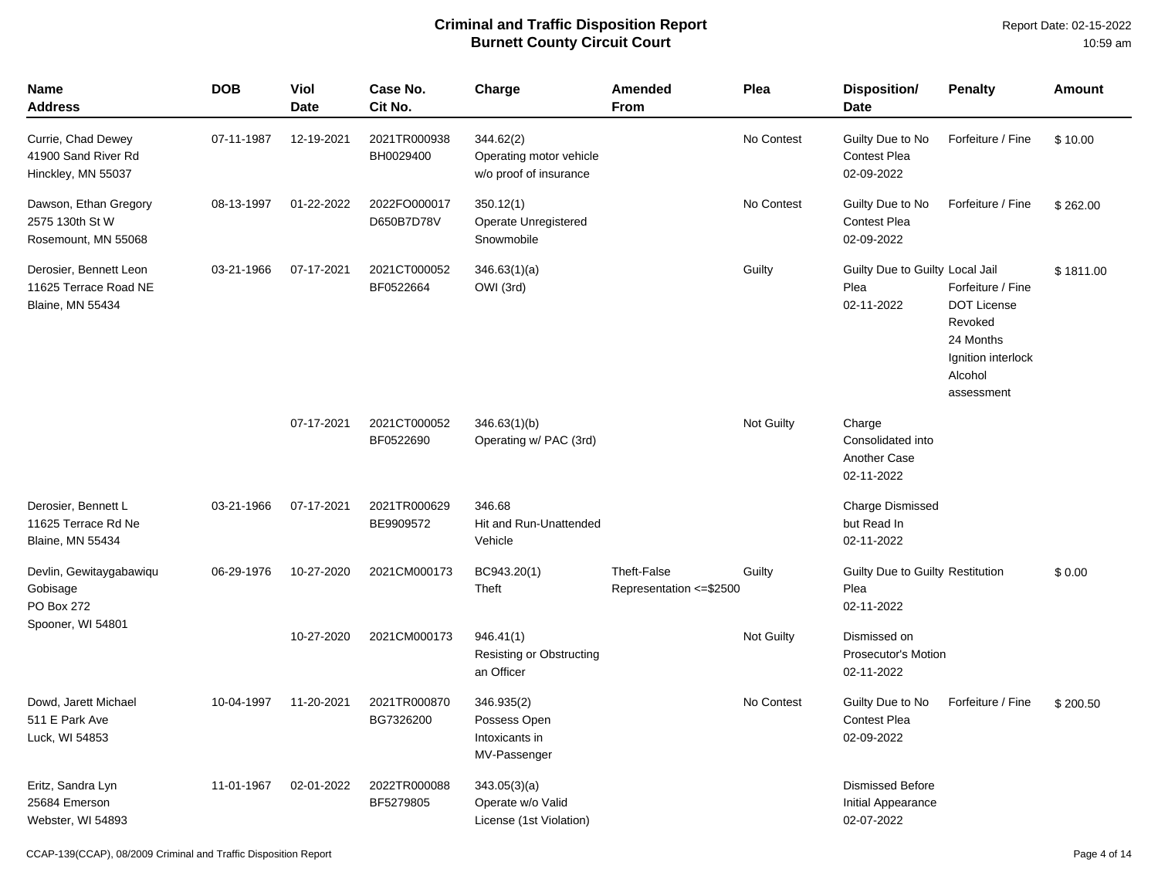| <b>Name</b><br>Address                                                     | <b>DOB</b> | Viol<br><b>Date</b> | Case No.<br>Cit No.        | Charge                                                         | Amended<br><b>From</b>                  | Plea       | Disposition/<br><b>Date</b>                                 | <b>Penalty</b>                                                                                                 | <b>Amount</b> |
|----------------------------------------------------------------------------|------------|---------------------|----------------------------|----------------------------------------------------------------|-----------------------------------------|------------|-------------------------------------------------------------|----------------------------------------------------------------------------------------------------------------|---------------|
| Currie, Chad Dewey<br>41900 Sand River Rd<br>Hinckley, MN 55037            | 07-11-1987 | 12-19-2021          | 2021TR000938<br>BH0029400  | 344.62(2)<br>Operating motor vehicle<br>w/o proof of insurance |                                         | No Contest | Guilty Due to No<br><b>Contest Plea</b><br>02-09-2022       | Forfeiture / Fine                                                                                              | \$10.00       |
| Dawson, Ethan Gregory<br>2575 130th St W<br>Rosemount, MN 55068            | 08-13-1997 | 01-22-2022          | 2022FO000017<br>D650B7D78V | 350.12(1)<br>Operate Unregistered<br>Snowmobile                |                                         | No Contest | Guilty Due to No<br><b>Contest Plea</b><br>02-09-2022       | Forfeiture / Fine                                                                                              | \$262.00      |
| Derosier, Bennett Leon<br>11625 Terrace Road NE<br><b>Blaine, MN 55434</b> | 03-21-1966 | 07-17-2021          | 2021CT000052<br>BF0522664  | 346.63(1)(a)<br>OWI (3rd)                                      |                                         | Guilty     | Guilty Due to Guilty Local Jail<br>Plea<br>02-11-2022       | Forfeiture / Fine<br><b>DOT License</b><br>Revoked<br>24 Months<br>Ignition interlock<br>Alcohol<br>assessment | \$1811.00     |
|                                                                            |            | 07-17-2021          | 2021CT000052<br>BF0522690  | 346.63(1)(b)<br>Operating w/ PAC (3rd)                         |                                         | Not Guilty | Charge<br>Consolidated into<br>Another Case<br>02-11-2022   |                                                                                                                |               |
| Derosier, Bennett L<br>11625 Terrace Rd Ne<br><b>Blaine, MN 55434</b>      | 03-21-1966 | 07-17-2021          | 2021TR000629<br>BE9909572  | 346.68<br>Hit and Run-Unattended<br>Vehicle                    |                                         |            | <b>Charge Dismissed</b><br>but Read In<br>02-11-2022        |                                                                                                                |               |
| Devlin, Gewitaygabawiqu<br>Gobisage<br>PO Box 272                          | 06-29-1976 | 10-27-2020          | 2021CM000173               | BC943.20(1)<br>Theft                                           | Theft-False<br>Representation <= \$2500 | Guilty     | Guilty Due to Guilty Restitution<br>Plea<br>02-11-2022      |                                                                                                                | \$0.00        |
| Spooner, WI 54801                                                          |            | 10-27-2020          | 2021CM000173               | 946.41(1)<br>Resisting or Obstructing<br>an Officer            |                                         | Not Guilty | Dismissed on<br><b>Prosecutor's Motion</b><br>02-11-2022    |                                                                                                                |               |
| Dowd, Jarett Michael<br>511 E Park Ave<br>Luck, WI 54853                   | 10-04-1997 | 11-20-2021          | 2021TR000870<br>BG7326200  | 346.935(2)<br>Possess Open<br>Intoxicants in<br>MV-Passenger   |                                         | No Contest | Guilty Due to No<br><b>Contest Plea</b><br>02-09-2022       | Forfeiture / Fine                                                                                              | \$200.50      |
| Eritz, Sandra Lyn<br>25684 Emerson<br>Webster, WI 54893                    | 11-01-1967 | 02-01-2022          | 2022TR000088<br>BF5279805  | 343.05(3)(a)<br>Operate w/o Valid<br>License (1st Violation)   |                                         |            | <b>Dismissed Before</b><br>Initial Appearance<br>02-07-2022 |                                                                                                                |               |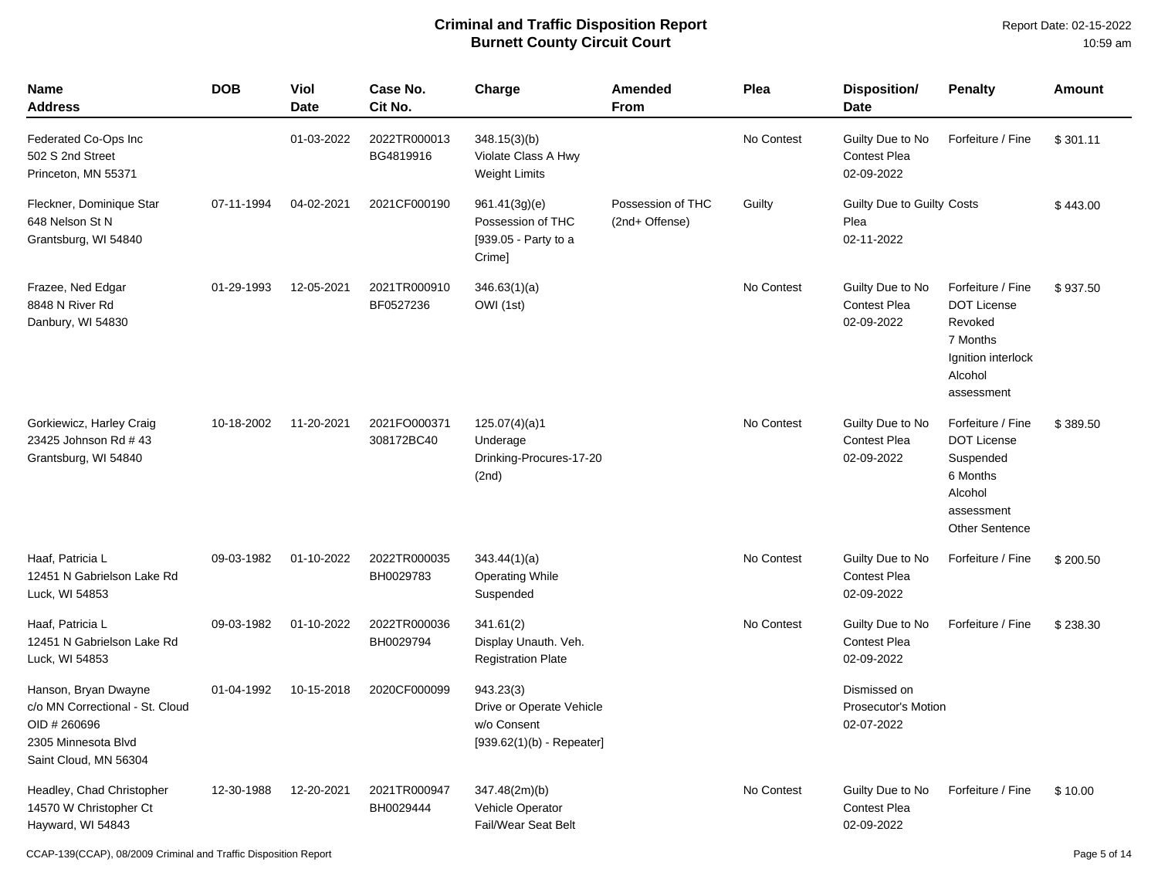| <b>Name</b><br>Address                                                                                                  | <b>DOB</b> | <b>Viol</b><br><b>Date</b> | Case No.<br>Cit No.        | Charge                                                                              | <b>Amended</b><br>From              | Plea       | <b>Disposition/</b><br><b>Date</b>                    | <b>Penalty</b>                                                                                                     | <b>Amount</b> |
|-------------------------------------------------------------------------------------------------------------------------|------------|----------------------------|----------------------------|-------------------------------------------------------------------------------------|-------------------------------------|------------|-------------------------------------------------------|--------------------------------------------------------------------------------------------------------------------|---------------|
| Federated Co-Ops Inc<br>502 S 2nd Street<br>Princeton, MN 55371                                                         |            | 01-03-2022                 | 2022TR000013<br>BG4819916  | 348.15(3)(b)<br>Violate Class A Hwy<br><b>Weight Limits</b>                         |                                     | No Contest | Guilty Due to No<br><b>Contest Plea</b><br>02-09-2022 | Forfeiture / Fine                                                                                                  | \$301.11      |
| Fleckner, Dominique Star<br>648 Nelson St N<br>Grantsburg, WI 54840                                                     | 07-11-1994 | 04-02-2021                 | 2021CF000190               | 961.41(3g)(e)<br>Possession of THC<br>[939.05 - Party to a<br>Crime]                | Possession of THC<br>(2nd+ Offense) | Guilty     | Guilty Due to Guilty Costs<br>Plea<br>02-11-2022      |                                                                                                                    | \$443.00      |
| Frazee, Ned Edgar<br>8848 N River Rd<br>Danbury, WI 54830                                                               | 01-29-1993 | 12-05-2021                 | 2021TR000910<br>BF0527236  | 346.63(1)(a)<br>OWI (1st)                                                           |                                     | No Contest | Guilty Due to No<br><b>Contest Plea</b><br>02-09-2022 | Forfeiture / Fine<br><b>DOT License</b><br>Revoked<br>7 Months<br>Ignition interlock<br>Alcohol<br>assessment      | \$937.50      |
| Gorkiewicz, Harley Craig<br>23425 Johnson Rd # 43<br>Grantsburg, WI 54840                                               | 10-18-2002 | 11-20-2021                 | 2021FO000371<br>308172BC40 | 125.07(4)(a)1<br>Underage<br>Drinking-Procures-17-20<br>(2nd)                       |                                     | No Contest | Guilty Due to No<br><b>Contest Plea</b><br>02-09-2022 | Forfeiture / Fine<br><b>DOT License</b><br>Suspended<br>6 Months<br>Alcohol<br>assessment<br><b>Other Sentence</b> | \$389.50      |
| Haaf, Patricia L<br>12451 N Gabrielson Lake Rd<br>Luck, WI 54853                                                        | 09-03-1982 | 01-10-2022                 | 2022TR000035<br>BH0029783  | 343.44(1)(a)<br><b>Operating While</b><br>Suspended                                 |                                     | No Contest | Guilty Due to No<br><b>Contest Plea</b><br>02-09-2022 | Forfeiture / Fine                                                                                                  | \$200.50      |
| Haaf, Patricia L<br>12451 N Gabrielson Lake Rd<br>Luck, WI 54853                                                        | 09-03-1982 | 01-10-2022                 | 2022TR000036<br>BH0029794  | 341.61(2)<br>Display Unauth. Veh.<br><b>Registration Plate</b>                      |                                     | No Contest | Guilty Due to No<br><b>Contest Plea</b><br>02-09-2022 | Forfeiture / Fine                                                                                                  | \$238.30      |
| Hanson, Bryan Dwayne<br>c/o MN Correctional - St. Cloud<br>OID # 260696<br>2305 Minnesota Blvd<br>Saint Cloud, MN 56304 | 01-04-1992 | 10-15-2018                 | 2020CF000099               | 943.23(3)<br>Drive or Operate Vehicle<br>w/o Consent<br>$[939.62(1)(b) - Repeated]$ |                                     |            | Dismissed on<br>Prosecutor's Motion<br>02-07-2022     |                                                                                                                    |               |
| Headley, Chad Christopher<br>14570 W Christopher Ct<br>Hayward, WI 54843                                                | 12-30-1988 | 12-20-2021                 | 2021TR000947<br>BH0029444  | 347.48(2m)(b)<br>Vehicle Operator<br><b>Fail/Wear Seat Belt</b>                     |                                     | No Contest | Guilty Due to No<br>Contest Plea<br>02-09-2022        | Forfeiture / Fine                                                                                                  | \$10.00       |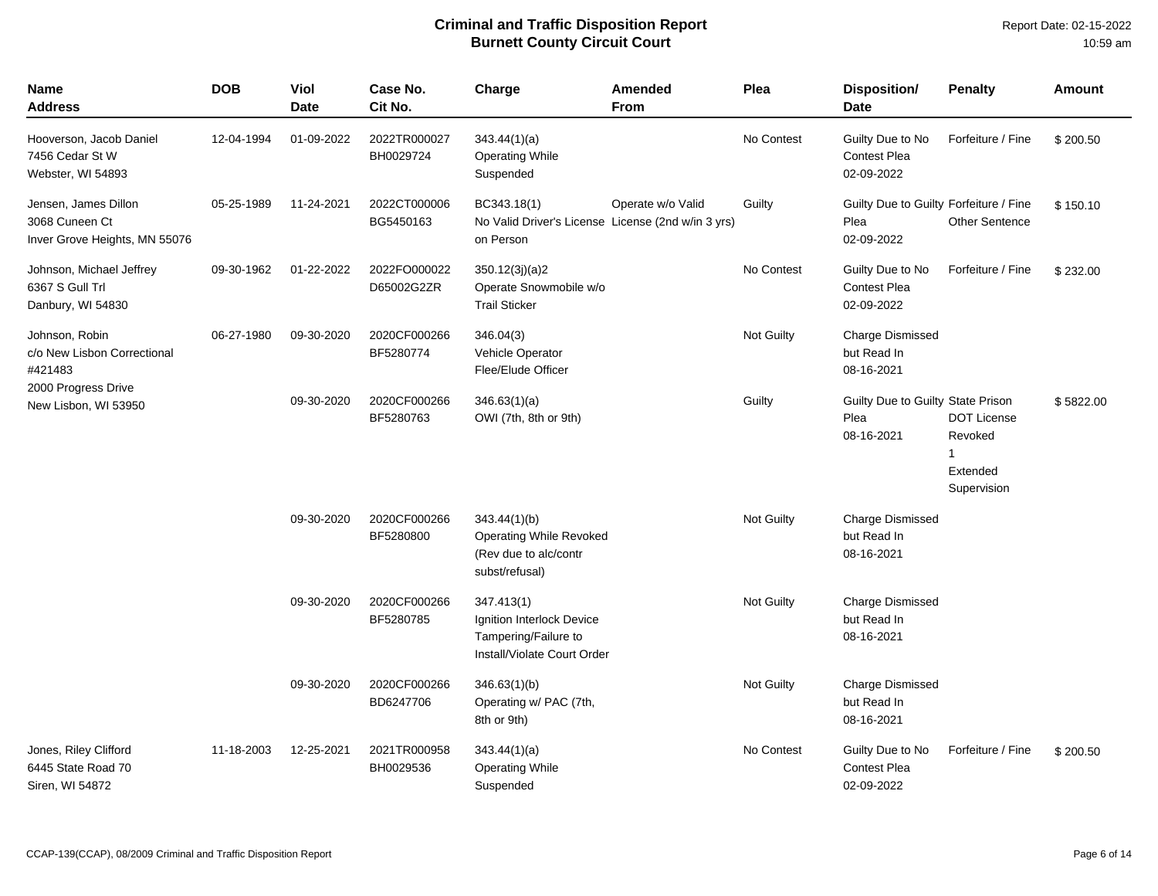| <b>Name</b><br>Address                                                  | <b>DOB</b> | Viol<br><b>Date</b> | Case No.<br>Cit No.        | Charge                                                                                         | Amended<br>From   | Plea       | Disposition/<br><b>Date</b>                                  | <b>Penalty</b>                                                | <b>Amount</b> |
|-------------------------------------------------------------------------|------------|---------------------|----------------------------|------------------------------------------------------------------------------------------------|-------------------|------------|--------------------------------------------------------------|---------------------------------------------------------------|---------------|
| Hooverson, Jacob Daniel<br>7456 Cedar St W<br>Webster, WI 54893         | 12-04-1994 | 01-09-2022          | 2022TR000027<br>BH0029724  | 343.44(1)(a)<br><b>Operating While</b><br>Suspended                                            |                   | No Contest | Guilty Due to No<br><b>Contest Plea</b><br>02-09-2022        | Forfeiture / Fine                                             | \$200.50      |
| Jensen, James Dillon<br>3068 Cuneen Ct<br>Inver Grove Heights, MN 55076 | 05-25-1989 | 11-24-2021          | 2022CT000006<br>BG5450163  | BC343.18(1)<br>No Valid Driver's License License (2nd w/in 3 yrs)<br>on Person                 | Operate w/o Valid | Guilty     | Guilty Due to Guilty Forfeiture / Fine<br>Plea<br>02-09-2022 | <b>Other Sentence</b>                                         | \$150.10      |
| Johnson, Michael Jeffrey<br>6367 S Gull Trl<br>Danbury, WI 54830        | 09-30-1962 | 01-22-2022          | 2022FO000022<br>D65002G2ZR | 350.12(3j)(a)2<br>Operate Snowmobile w/o<br><b>Trail Sticker</b>                               |                   | No Contest | Guilty Due to No<br><b>Contest Plea</b><br>02-09-2022        | Forfeiture / Fine                                             | \$232.00      |
| Johnson, Robin<br>c/o New Lisbon Correctional<br>#421483                | 06-27-1980 | 09-30-2020          | 2020CF000266<br>BF5280774  | 346.04(3)<br>Vehicle Operator<br>Flee/Elude Officer                                            |                   | Not Guilty | Charge Dismissed<br>but Read In<br>08-16-2021                |                                                               |               |
| 2000 Progress Drive<br>New Lisbon, WI 53950                             |            | 09-30-2020          | 2020CF000266<br>BF5280763  | 346.63(1)(a)<br>OWI (7th, 8th or 9th)                                                          |                   | Guilty     | Guilty Due to Guilty State Prison<br>Plea<br>08-16-2021      | <b>DOT License</b><br>Revoked<br>1<br>Extended<br>Supervision | \$5822.00     |
|                                                                         |            | 09-30-2020          | 2020CF000266<br>BF5280800  | 343.44(1)(b)<br><b>Operating While Revoked</b><br>(Rev due to alc/contr<br>subst/refusal)      |                   | Not Guilty | <b>Charge Dismissed</b><br>but Read In<br>08-16-2021         |                                                               |               |
|                                                                         |            | 09-30-2020          | 2020CF000266<br>BF5280785  | 347.413(1)<br>Ignition Interlock Device<br>Tampering/Failure to<br>Install/Violate Court Order |                   | Not Guilty | <b>Charge Dismissed</b><br>but Read In<br>08-16-2021         |                                                               |               |
|                                                                         |            | 09-30-2020          | 2020CF000266<br>BD6247706  | 346.63(1)(b)<br>Operating w/ PAC (7th,<br>8th or 9th)                                          |                   | Not Guilty | <b>Charge Dismissed</b><br>but Read In<br>08-16-2021         |                                                               |               |
| Jones, Riley Clifford<br>6445 State Road 70<br>Siren, WI 54872          | 11-18-2003 | 12-25-2021          | 2021TR000958<br>BH0029536  | 343.44(1)(a)<br><b>Operating While</b><br>Suspended                                            |                   | No Contest | Guilty Due to No<br><b>Contest Plea</b><br>02-09-2022        | Forfeiture / Fine                                             | \$200.50      |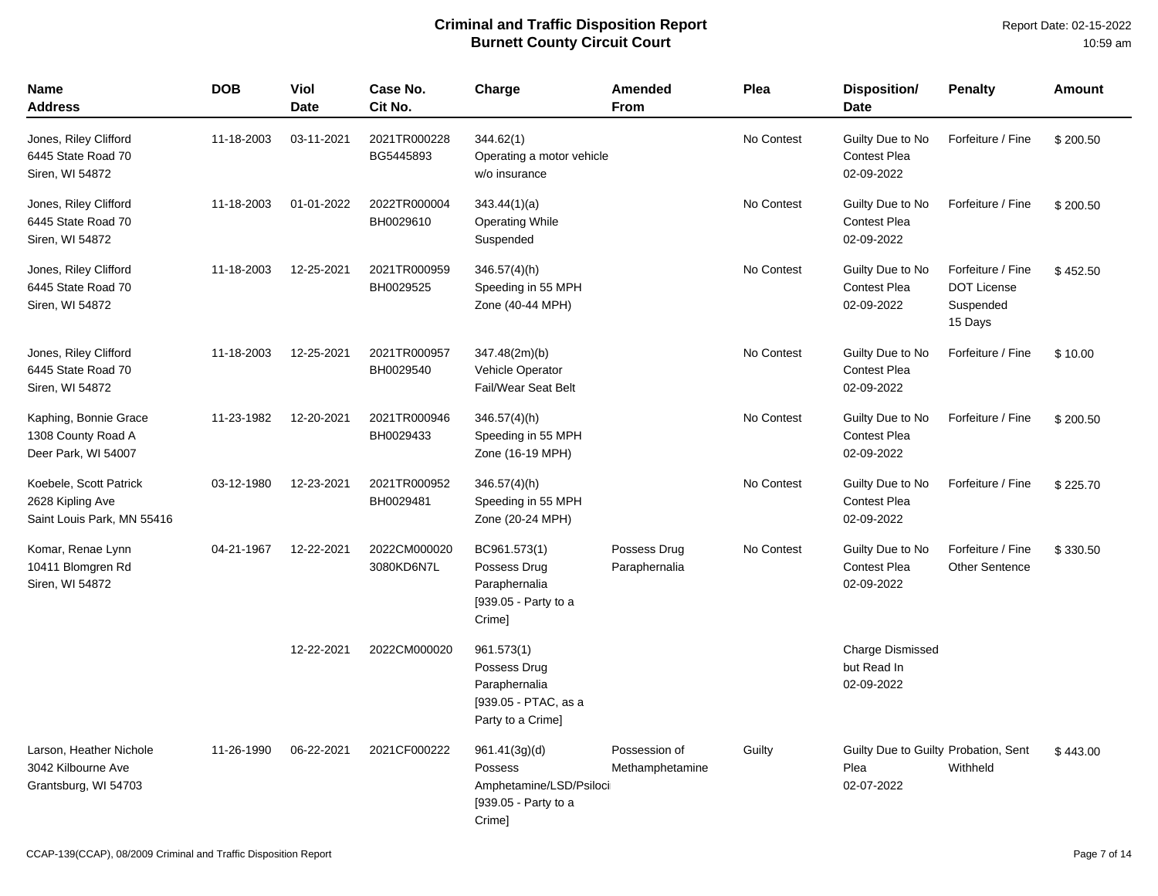| <b>Name</b><br><b>Address</b>                                            | <b>DOB</b> | Viol<br><b>Date</b> | Case No.<br>Cit No.        | Charge                                                                                   | Amended<br><b>From</b>           | Plea       | Disposition/<br><b>Date</b>                                | <b>Penalty</b>                                                  | Amount   |
|--------------------------------------------------------------------------|------------|---------------------|----------------------------|------------------------------------------------------------------------------------------|----------------------------------|------------|------------------------------------------------------------|-----------------------------------------------------------------|----------|
| Jones, Riley Clifford<br>6445 State Road 70<br>Siren, WI 54872           | 11-18-2003 | 03-11-2021          | 2021TR000228<br>BG5445893  | 344.62(1)<br>Operating a motor vehicle<br>w/o insurance                                  |                                  | No Contest | Guilty Due to No<br><b>Contest Plea</b><br>02-09-2022      | Forfeiture / Fine                                               | \$200.50 |
| Jones, Riley Clifford<br>6445 State Road 70<br>Siren, WI 54872           | 11-18-2003 | 01-01-2022          | 2022TR000004<br>BH0029610  | 343.44(1)(a)<br><b>Operating While</b><br>Suspended                                      |                                  | No Contest | Guilty Due to No<br><b>Contest Plea</b><br>02-09-2022      | Forfeiture / Fine                                               | \$200.50 |
| Jones, Riley Clifford<br>6445 State Road 70<br>Siren, WI 54872           | 11-18-2003 | 12-25-2021          | 2021TR000959<br>BH0029525  | $346.57(4)$ (h)<br>Speeding in 55 MPH<br>Zone (40-44 MPH)                                |                                  | No Contest | Guilty Due to No<br><b>Contest Plea</b><br>02-09-2022      | Forfeiture / Fine<br><b>DOT License</b><br>Suspended<br>15 Days | \$452.50 |
| Jones, Riley Clifford<br>6445 State Road 70<br>Siren, WI 54872           | 11-18-2003 | 12-25-2021          | 2021TR000957<br>BH0029540  | 347.48(2m)(b)<br>Vehicle Operator<br>Fail/Wear Seat Belt                                 |                                  | No Contest | Guilty Due to No<br><b>Contest Plea</b><br>02-09-2022      | Forfeiture / Fine                                               | \$10.00  |
| Kaphing, Bonnie Grace<br>1308 County Road A<br>Deer Park, WI 54007       | 11-23-1982 | 12-20-2021          | 2021TR000946<br>BH0029433  | 346.57(4)(h)<br>Speeding in 55 MPH<br>Zone (16-19 MPH)                                   |                                  | No Contest | Guilty Due to No<br><b>Contest Plea</b><br>02-09-2022      | Forfeiture / Fine                                               | \$200.50 |
| Koebele, Scott Patrick<br>2628 Kipling Ave<br>Saint Louis Park, MN 55416 | 03-12-1980 | 12-23-2021          | 2021TR000952<br>BH0029481  | $346.57(4)$ (h)<br>Speeding in 55 MPH<br>Zone (20-24 MPH)                                |                                  | No Contest | Guilty Due to No<br><b>Contest Plea</b><br>02-09-2022      | Forfeiture / Fine                                               | \$225.70 |
| Komar, Renae Lynn<br>10411 Blomgren Rd<br>Siren, WI 54872                | 04-21-1967 | 12-22-2021          | 2022CM000020<br>3080KD6N7L | BC961.573(1)<br>Possess Drug<br>Paraphernalia<br>[939.05 - Party to a<br>Crime]          | Possess Drug<br>Paraphernalia    | No Contest | Guilty Due to No<br>Contest Plea<br>02-09-2022             | Forfeiture / Fine<br><b>Other Sentence</b>                      | \$330.50 |
|                                                                          |            | 12-22-2021          | 2022CM000020               | 961.573(1)<br>Possess Drug<br>Paraphernalia<br>[939.05 - PTAC, as a<br>Party to a Crime] |                                  |            | <b>Charge Dismissed</b><br>but Read In<br>02-09-2022       |                                                                 |          |
| Larson, Heather Nichole<br>3042 Kilbourne Ave<br>Grantsburg, WI 54703    | 11-26-1990 | 06-22-2021          | 2021CF000222               | 961.41(3g)(d)<br>Possess<br>Amphetamine/LSD/Psiloci<br>[939.05 - Party to a<br>Crime]    | Possession of<br>Methamphetamine | Guilty     | Guilty Due to Guilty Probation, Sent<br>Plea<br>02-07-2022 | Withheld                                                        | \$443.00 |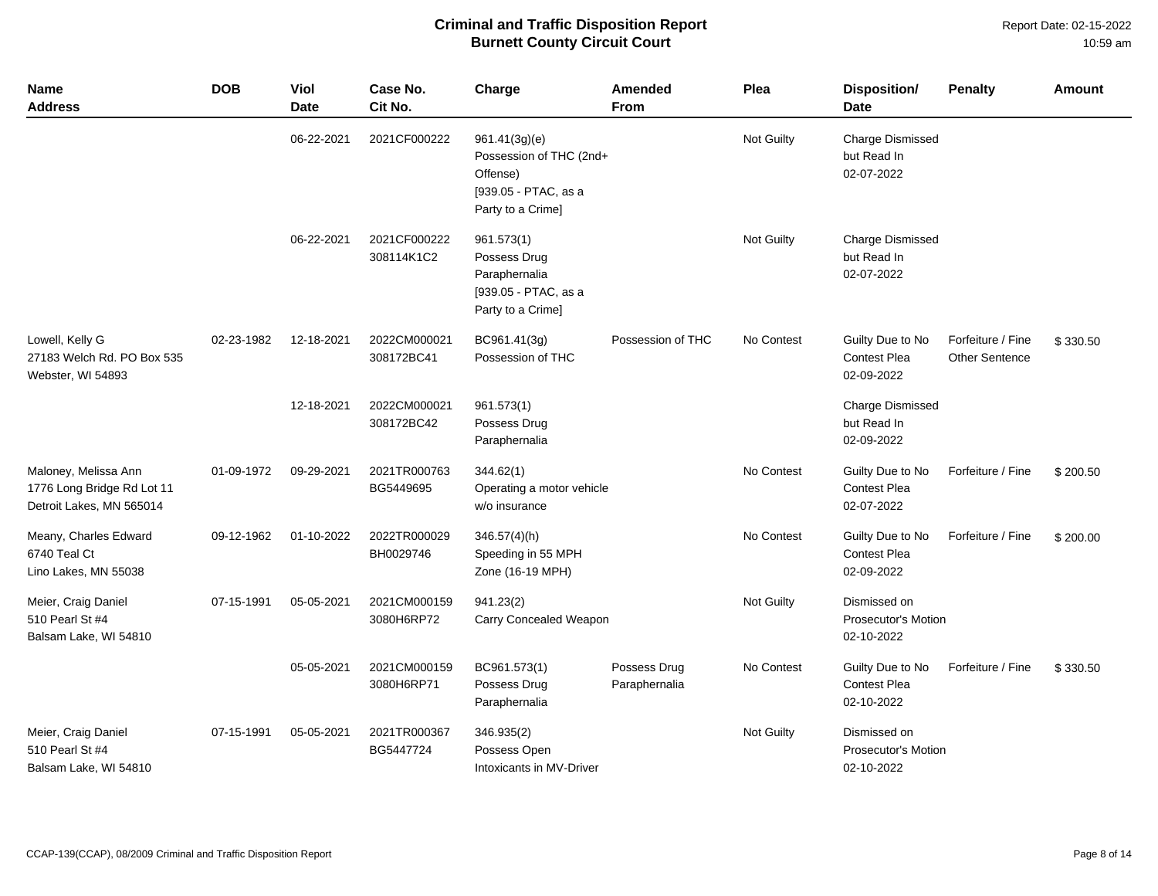| <b>Name</b><br><b>Address</b>                                                  | <b>DOB</b> | <b>Viol</b><br><b>Date</b> | Case No.<br>Cit No.        | Charge                                                                                            | <b>Amended</b><br><b>From</b> | Plea       | Disposition/<br>Date                                     | <b>Penalty</b>                      | <b>Amount</b> |
|--------------------------------------------------------------------------------|------------|----------------------------|----------------------------|---------------------------------------------------------------------------------------------------|-------------------------------|------------|----------------------------------------------------------|-------------------------------------|---------------|
|                                                                                |            | 06-22-2021                 | 2021CF000222               | 961.41(3g)(e)<br>Possession of THC (2nd+<br>Offense)<br>[939.05 - PTAC, as a<br>Party to a Crime] |                               | Not Guilty | <b>Charge Dismissed</b><br>but Read In<br>02-07-2022     |                                     |               |
|                                                                                |            | 06-22-2021                 | 2021CF000222<br>308114K1C2 | 961.573(1)<br>Possess Drug<br>Paraphernalia<br>[939.05 - PTAC, as a<br>Party to a Crime]          |                               | Not Guilty | Charge Dismissed<br>but Read In<br>02-07-2022            |                                     |               |
| Lowell, Kelly G<br>27183 Welch Rd. PO Box 535<br>Webster, WI 54893             | 02-23-1982 | 12-18-2021                 | 2022CM000021<br>308172BC41 | BC961.41(3g)<br>Possession of THC                                                                 | Possession of THC             | No Contest | Guilty Due to No<br><b>Contest Plea</b><br>02-09-2022    | Forfeiture / Fine<br>Other Sentence | \$330.50      |
|                                                                                |            | 12-18-2021                 | 2022CM000021<br>308172BC42 | 961.573(1)<br>Possess Drug<br>Paraphernalia                                                       |                               |            | <b>Charge Dismissed</b><br>but Read In<br>02-09-2022     |                                     |               |
| Maloney, Melissa Ann<br>1776 Long Bridge Rd Lot 11<br>Detroit Lakes, MN 565014 | 01-09-1972 | 09-29-2021                 | 2021TR000763<br>BG5449695  | 344.62(1)<br>Operating a motor vehicle<br>w/o insurance                                           |                               | No Contest | Guilty Due to No<br><b>Contest Plea</b><br>02-07-2022    | Forfeiture / Fine                   | \$200.50      |
| Meany, Charles Edward<br>6740 Teal Ct<br>Lino Lakes, MN 55038                  | 09-12-1962 | 01-10-2022                 | 2022TR000029<br>BH0029746  | $346.57(4)$ (h)<br>Speeding in 55 MPH<br>Zone (16-19 MPH)                                         |                               | No Contest | Guilty Due to No<br>Contest Plea<br>02-09-2022           | Forfeiture / Fine                   | \$200.00      |
| Meier, Craig Daniel<br>510 Pearl St #4<br>Balsam Lake, WI 54810                | 07-15-1991 | 05-05-2021                 | 2021CM000159<br>3080H6RP72 | 941.23(2)<br>Carry Concealed Weapon                                                               |                               | Not Guilty | Dismissed on<br><b>Prosecutor's Motion</b><br>02-10-2022 |                                     |               |
|                                                                                |            | 05-05-2021                 | 2021CM000159<br>3080H6RP71 | BC961.573(1)<br>Possess Drug<br>Paraphernalia                                                     | Possess Drug<br>Paraphernalia | No Contest | Guilty Due to No<br><b>Contest Plea</b><br>02-10-2022    | Forfeiture / Fine                   | \$330.50      |
| Meier, Craig Daniel<br>510 Pearl St #4<br>Balsam Lake, WI 54810                | 07-15-1991 | 05-05-2021                 | 2021TR000367<br>BG5447724  | 346.935(2)<br>Possess Open<br>Intoxicants in MV-Driver                                            |                               | Not Guilty | Dismissed on<br><b>Prosecutor's Motion</b><br>02-10-2022 |                                     |               |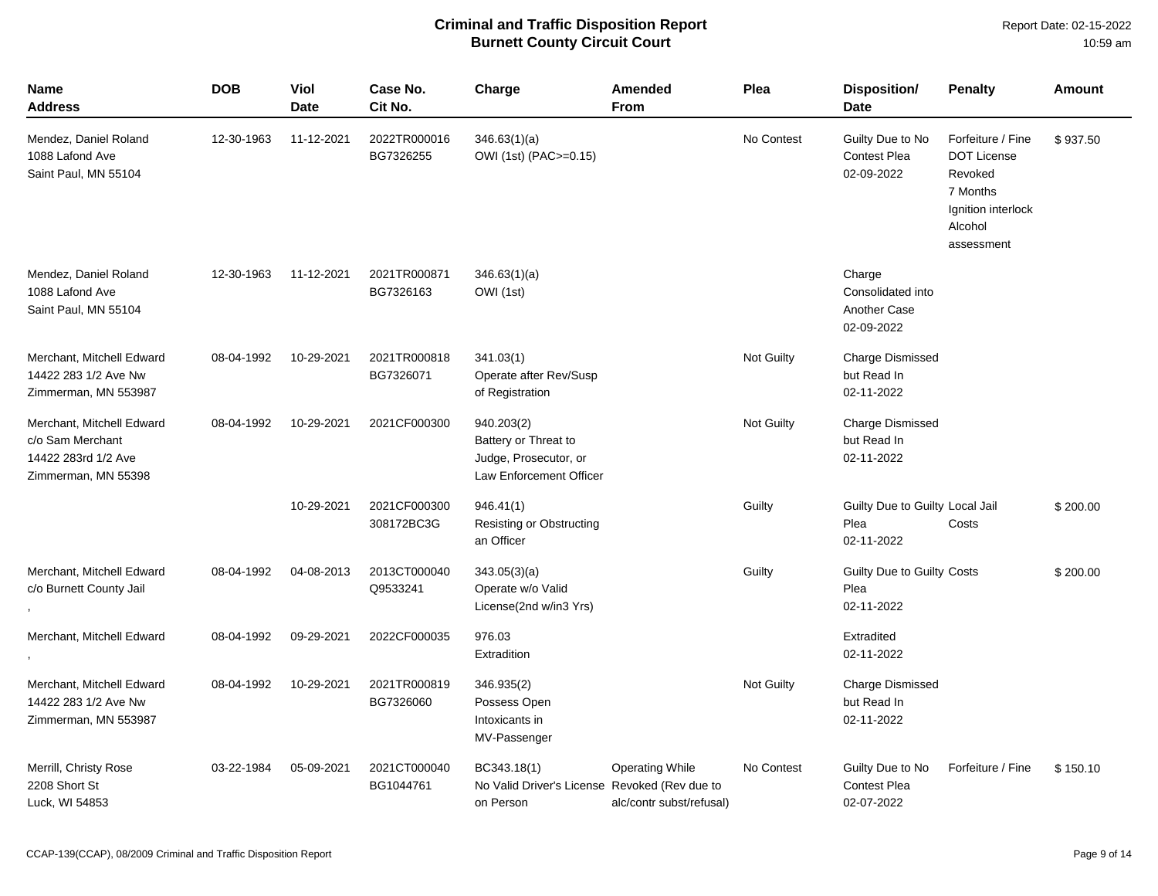| <b>Name</b><br>Address                                                                      | <b>DOB</b> | Viol<br><b>Date</b> | Case No.<br>Cit No.        | Charge                                                                                 | Amended<br><b>From</b>                             | Plea              | Disposition/<br><b>Date</b>                               | <b>Penalty</b>                                                                                                | <b>Amount</b> |
|---------------------------------------------------------------------------------------------|------------|---------------------|----------------------------|----------------------------------------------------------------------------------------|----------------------------------------------------|-------------------|-----------------------------------------------------------|---------------------------------------------------------------------------------------------------------------|---------------|
| Mendez, Daniel Roland<br>1088 Lafond Ave<br>Saint Paul, MN 55104                            | 12-30-1963 | 11-12-2021          | 2022TR000016<br>BG7326255  | 346.63(1)(a)<br>OWI (1st) (PAC>=0.15)                                                  |                                                    | No Contest        | Guilty Due to No<br><b>Contest Plea</b><br>02-09-2022     | Forfeiture / Fine<br><b>DOT License</b><br>Revoked<br>7 Months<br>Ignition interlock<br>Alcohol<br>assessment | \$937.50      |
| Mendez, Daniel Roland<br>1088 Lafond Ave<br>Saint Paul, MN 55104                            | 12-30-1963 | 11-12-2021          | 2021TR000871<br>BG7326163  | 346.63(1)(a)<br>OWI (1st)                                                              |                                                    |                   | Charge<br>Consolidated into<br>Another Case<br>02-09-2022 |                                                                                                               |               |
| Merchant, Mitchell Edward<br>14422 283 1/2 Ave Nw<br>Zimmerman, MN 553987                   | 08-04-1992 | 10-29-2021          | 2021TR000818<br>BG7326071  | 341.03(1)<br>Operate after Rev/Susp<br>of Registration                                 |                                                    | <b>Not Guilty</b> | <b>Charge Dismissed</b><br>but Read In<br>02-11-2022      |                                                                                                               |               |
| Merchant, Mitchell Edward<br>c/o Sam Merchant<br>14422 283rd 1/2 Ave<br>Zimmerman, MN 55398 | 08-04-1992 | 10-29-2021          | 2021CF000300               | 940.203(2)<br>Battery or Threat to<br>Judge, Prosecutor, or<br>Law Enforcement Officer |                                                    | Not Guilty        | <b>Charge Dismissed</b><br>but Read In<br>02-11-2022      |                                                                                                               |               |
|                                                                                             |            | 10-29-2021          | 2021CF000300<br>308172BC3G | 946.41(1)<br><b>Resisting or Obstructing</b><br>an Officer                             |                                                    | Guilty            | Guilty Due to Guilty Local Jail<br>Plea<br>02-11-2022     | Costs                                                                                                         | \$200.00      |
| Merchant, Mitchell Edward<br>c/o Burnett County Jail                                        | 08-04-1992 | 04-08-2013          | 2013CT000040<br>Q9533241   | 343.05(3)(a)<br>Operate w/o Valid<br>License(2nd w/in3 Yrs)                            |                                                    | Guilty            | Guilty Due to Guilty Costs<br>Plea<br>02-11-2022          |                                                                                                               | \$200.00      |
| Merchant, Mitchell Edward                                                                   | 08-04-1992 | 09-29-2021          | 2022CF000035               | 976.03<br>Extradition                                                                  |                                                    |                   | Extradited<br>02-11-2022                                  |                                                                                                               |               |
| Merchant, Mitchell Edward<br>14422 283 1/2 Ave Nw<br>Zimmerman, MN 553987                   | 08-04-1992 | 10-29-2021          | 2021TR000819<br>BG7326060  | 346.935(2)<br>Possess Open<br>Intoxicants in<br>MV-Passenger                           |                                                    | <b>Not Guilty</b> | <b>Charge Dismissed</b><br>but Read In<br>02-11-2022      |                                                                                                               |               |
| Merrill, Christy Rose<br>2208 Short St<br>Luck, WI 54853                                    | 03-22-1984 | 05-09-2021          | 2021CT000040<br>BG1044761  | BC343.18(1)<br>No Valid Driver's License Revoked (Rev due to<br>on Person              | <b>Operating While</b><br>alc/contr subst/refusal) | No Contest        | Guilty Due to No<br><b>Contest Plea</b><br>02-07-2022     | Forfeiture / Fine                                                                                             | \$150.10      |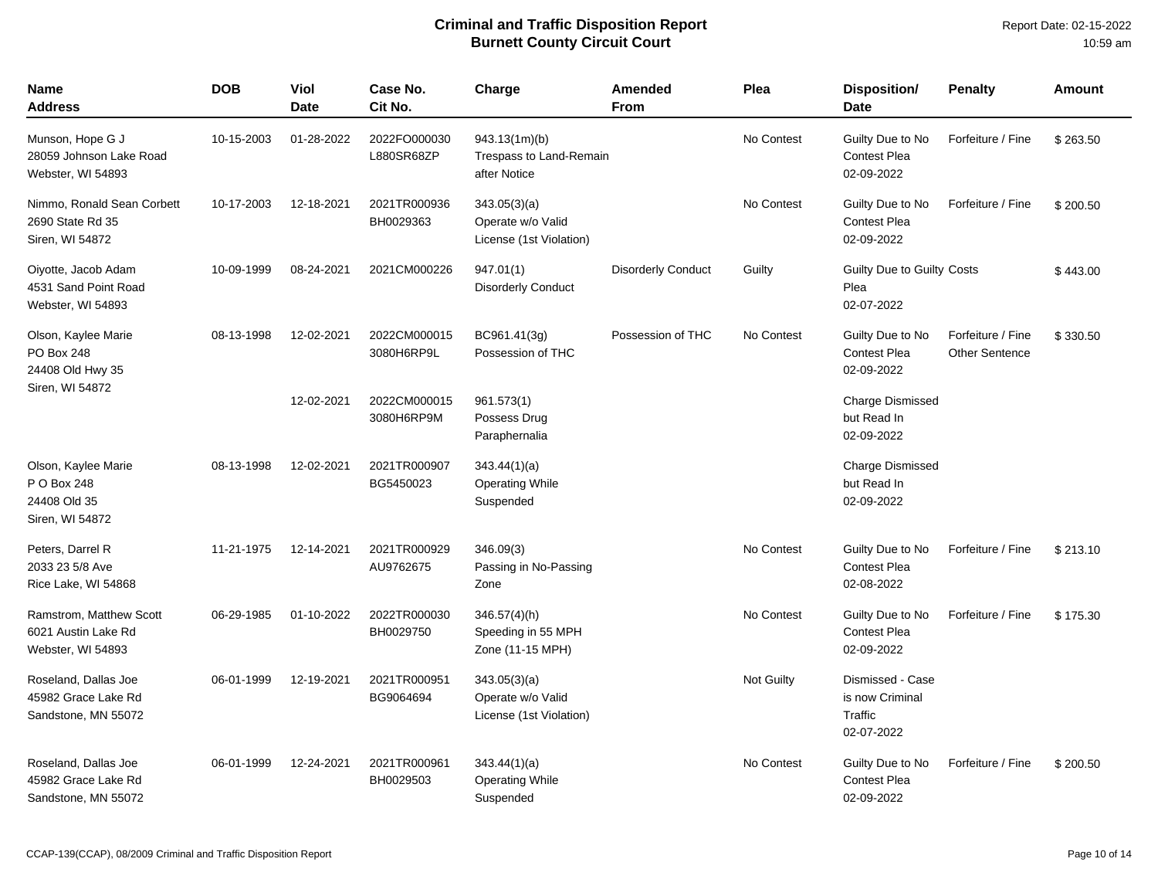| <b>Name</b><br><b>Address</b>                                         | <b>DOB</b> | Viol<br><b>Date</b> | Case No.<br>Cit No.        | Charge                                                       | <b>Amended</b><br>From    | Plea       | Disposition/<br><b>Date</b>                                  | <b>Penalty</b>                             | <b>Amount</b> |
|-----------------------------------------------------------------------|------------|---------------------|----------------------------|--------------------------------------------------------------|---------------------------|------------|--------------------------------------------------------------|--------------------------------------------|---------------|
| Munson, Hope G J<br>28059 Johnson Lake Road<br>Webster, WI 54893      | 10-15-2003 | 01-28-2022          | 2022FO000030<br>L880SR68ZP | 943.13(1m)(b)<br>Trespass to Land-Remain<br>after Notice     |                           | No Contest | Guilty Due to No<br><b>Contest Plea</b><br>02-09-2022        | Forfeiture / Fine                          | \$263.50      |
| Nimmo, Ronald Sean Corbett<br>2690 State Rd 35<br>Siren, WI 54872     | 10-17-2003 | 12-18-2021          | 2021TR000936<br>BH0029363  | 343.05(3)(a)<br>Operate w/o Valid<br>License (1st Violation) |                           | No Contest | Guilty Due to No<br><b>Contest Plea</b><br>02-09-2022        | Forfeiture / Fine                          | \$200.50      |
| Oiyotte, Jacob Adam<br>4531 Sand Point Road<br>Webster, WI 54893      | 10-09-1999 | 08-24-2021          | 2021CM000226               | 947.01(1)<br><b>Disorderly Conduct</b>                       | <b>Disorderly Conduct</b> | Guilty     | Guilty Due to Guilty Costs<br>Plea<br>02-07-2022             |                                            | \$443.00      |
| Olson, Kaylee Marie<br>PO Box 248<br>24408 Old Hwy 35                 | 08-13-1998 | 12-02-2021          | 2022CM000015<br>3080H6RP9L | BC961.41(3g)<br>Possession of THC                            | Possession of THC         | No Contest | Guilty Due to No<br><b>Contest Plea</b><br>02-09-2022        | Forfeiture / Fine<br><b>Other Sentence</b> | \$330.50      |
| Siren, WI 54872                                                       |            | 12-02-2021          | 2022CM000015<br>3080H6RP9M | 961.573(1)<br>Possess Drug<br>Paraphernalia                  |                           |            | <b>Charge Dismissed</b><br>but Read In<br>02-09-2022         |                                            |               |
| Olson, Kaylee Marie<br>P O Box 248<br>24408 Old 35<br>Siren, WI 54872 | 08-13-1998 | 12-02-2021          | 2021TR000907<br>BG5450023  | 343.44(1)(a)<br><b>Operating While</b><br>Suspended          |                           |            | <b>Charge Dismissed</b><br>but Read In<br>02-09-2022         |                                            |               |
| Peters, Darrel R<br>2033 23 5/8 Ave<br>Rice Lake, WI 54868            | 11-21-1975 | 12-14-2021          | 2021TR000929<br>AU9762675  | 346.09(3)<br>Passing in No-Passing<br>Zone                   |                           | No Contest | Guilty Due to No<br><b>Contest Plea</b><br>02-08-2022        | Forfeiture / Fine                          | \$213.10      |
| Ramstrom, Matthew Scott<br>6021 Austin Lake Rd<br>Webster, WI 54893   | 06-29-1985 | 01-10-2022          | 2022TR000030<br>BH0029750  | $346.57(4)$ (h)<br>Speeding in 55 MPH<br>Zone (11-15 MPH)    |                           | No Contest | Guilty Due to No<br><b>Contest Plea</b><br>02-09-2022        | Forfeiture / Fine                          | \$175.30      |
| Roseland, Dallas Joe<br>45982 Grace Lake Rd<br>Sandstone, MN 55072    | 06-01-1999 | 12-19-2021          | 2021TR000951<br>BG9064694  | 343.05(3)(a)<br>Operate w/o Valid<br>License (1st Violation) |                           | Not Guilty | Dismissed - Case<br>is now Criminal<br>Traffic<br>02-07-2022 |                                            |               |
| Roseland, Dallas Joe<br>45982 Grace Lake Rd<br>Sandstone, MN 55072    | 06-01-1999 | 12-24-2021          | 2021TR000961<br>BH0029503  | 343.44(1)(a)<br><b>Operating While</b><br>Suspended          |                           | No Contest | Guilty Due to No<br><b>Contest Plea</b><br>02-09-2022        | Forfeiture / Fine                          | \$200.50      |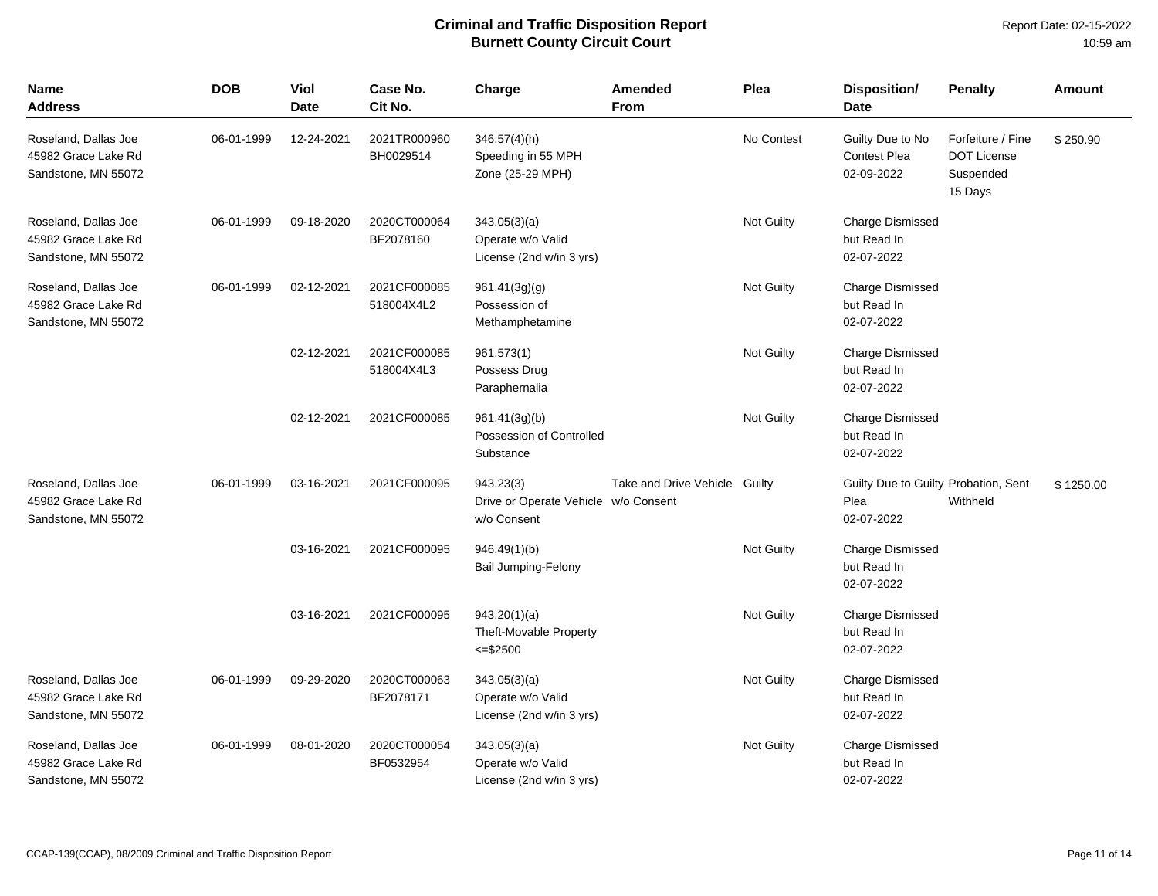| <b>Name</b><br><b>Address</b>                                      | <b>DOB</b> | Viol<br><b>Date</b> | Case No.<br>Cit No.        | Charge                                                           | Amended<br>From               | Plea       | <b>Disposition/</b><br><b>Date</b>                         | <b>Penalty</b>                                                  | <b>Amount</b> |
|--------------------------------------------------------------------|------------|---------------------|----------------------------|------------------------------------------------------------------|-------------------------------|------------|------------------------------------------------------------|-----------------------------------------------------------------|---------------|
| Roseland, Dallas Joe<br>45982 Grace Lake Rd<br>Sandstone, MN 55072 | 06-01-1999 | 12-24-2021          | 2021TR000960<br>BH0029514  | $346.57(4)$ (h)<br>Speeding in 55 MPH<br>Zone (25-29 MPH)        |                               | No Contest | Guilty Due to No<br><b>Contest Plea</b><br>02-09-2022      | Forfeiture / Fine<br><b>DOT License</b><br>Suspended<br>15 Days | \$250.90      |
| Roseland, Dallas Joe<br>45982 Grace Lake Rd<br>Sandstone, MN 55072 | 06-01-1999 | 09-18-2020          | 2020CT000064<br>BF2078160  | 343.05(3)(a)<br>Operate w/o Valid<br>License (2nd w/in 3 yrs)    |                               | Not Guilty | Charge Dismissed<br>but Read In<br>02-07-2022              |                                                                 |               |
| Roseland, Dallas Joe<br>45982 Grace Lake Rd<br>Sandstone, MN 55072 | 06-01-1999 | 02-12-2021          | 2021CF000085<br>518004X4L2 | 961.41(3g)(g)<br>Possession of<br>Methamphetamine                |                               | Not Guilty | Charge Dismissed<br>but Read In<br>02-07-2022              |                                                                 |               |
|                                                                    |            | 02-12-2021          | 2021CF000085<br>518004X4L3 | 961.573(1)<br>Possess Drug<br>Paraphernalia                      |                               | Not Guilty | <b>Charge Dismissed</b><br>but Read In<br>02-07-2022       |                                                                 |               |
|                                                                    |            | 02-12-2021          | 2021CF000085               | 961.41(3g)(b)<br>Possession of Controlled<br>Substance           |                               | Not Guilty | <b>Charge Dismissed</b><br>but Read In<br>02-07-2022       |                                                                 |               |
| Roseland, Dallas Joe<br>45982 Grace Lake Rd<br>Sandstone, MN 55072 | 06-01-1999 | 03-16-2021          | 2021CF000095               | 943.23(3)<br>Drive or Operate Vehicle w/o Consent<br>w/o Consent | Take and Drive Vehicle Guilty |            | Guilty Due to Guilty Probation, Sent<br>Plea<br>02-07-2022 | Withheld                                                        | \$1250.00     |
|                                                                    |            | 03-16-2021          | 2021CF000095               | 946.49(1)(b)<br>Bail Jumping-Felony                              |                               | Not Guilty | <b>Charge Dismissed</b><br>but Read In<br>02-07-2022       |                                                                 |               |
|                                                                    |            | 03-16-2021          | 2021CF000095               | 943.20(1)(a)<br><b>Theft-Movable Property</b><br>$= $2500$       |                               | Not Guilty | <b>Charge Dismissed</b><br>but Read In<br>02-07-2022       |                                                                 |               |
| Roseland, Dallas Joe<br>45982 Grace Lake Rd<br>Sandstone, MN 55072 | 06-01-1999 | 09-29-2020          | 2020CT000063<br>BF2078171  | 343.05(3)(a)<br>Operate w/o Valid<br>License (2nd w/in 3 yrs)    |                               | Not Guilty | <b>Charge Dismissed</b><br>but Read In<br>02-07-2022       |                                                                 |               |
| Roseland, Dallas Joe<br>45982 Grace Lake Rd<br>Sandstone, MN 55072 | 06-01-1999 | 08-01-2020          | 2020CT000054<br>BF0532954  | 343.05(3)(a)<br>Operate w/o Valid<br>License (2nd w/in 3 yrs)    |                               | Not Guilty | <b>Charge Dismissed</b><br>but Read In<br>02-07-2022       |                                                                 |               |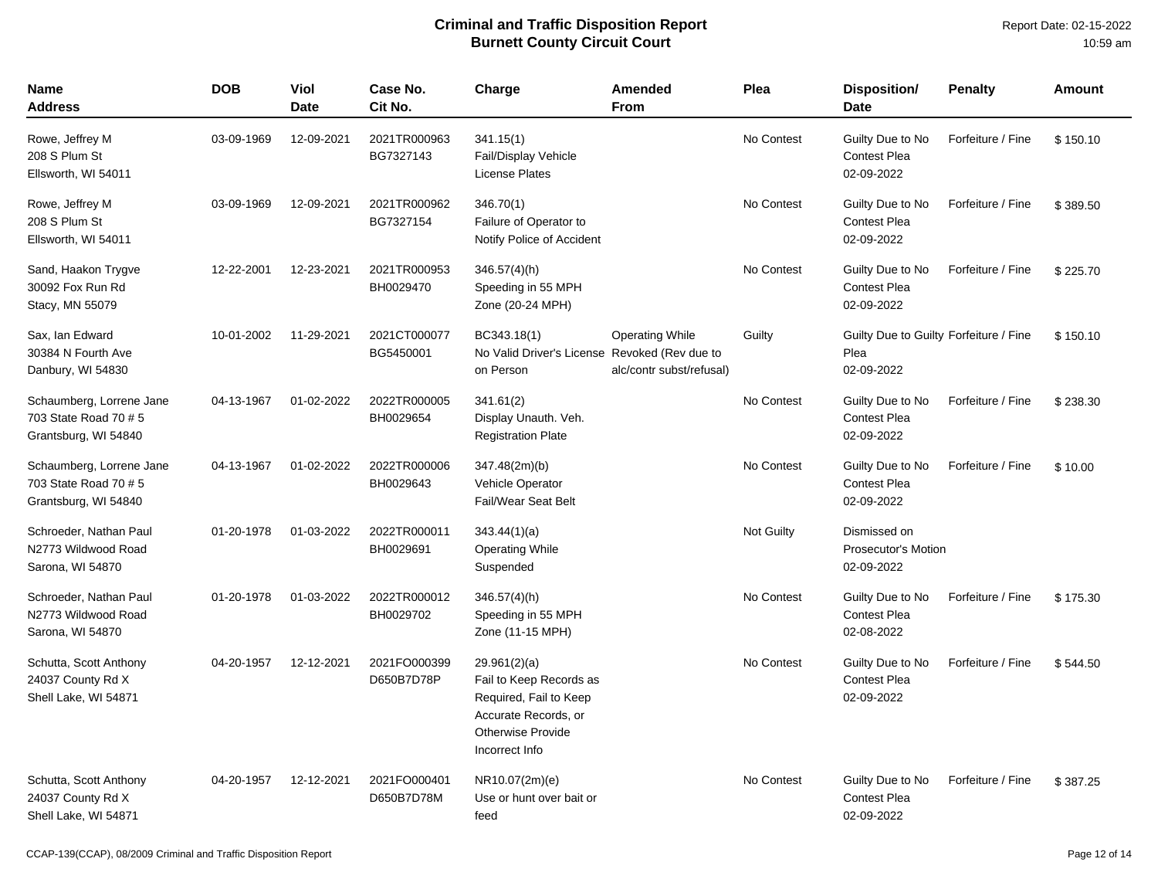| <b>Name</b><br><b>Address</b>                                             | <b>DOB</b> | <b>Viol</b><br><b>Date</b> | Case No.<br>Cit No.        | Charge                                                                                                                                  | Amended<br>From                                    | Plea              | Disposition/<br><b>Date</b>                                  | <b>Penalty</b>    | <b>Amount</b> |
|---------------------------------------------------------------------------|------------|----------------------------|----------------------------|-----------------------------------------------------------------------------------------------------------------------------------------|----------------------------------------------------|-------------------|--------------------------------------------------------------|-------------------|---------------|
| Rowe, Jeffrey M<br>208 S Plum St<br>Ellsworth, WI 54011                   | 03-09-1969 | 12-09-2021                 | 2021TR000963<br>BG7327143  | 341.15(1)<br>Fail/Display Vehicle<br><b>License Plates</b>                                                                              |                                                    | No Contest        | Guilty Due to No<br><b>Contest Plea</b><br>02-09-2022        | Forfeiture / Fine | \$150.10      |
| Rowe, Jeffrey M<br>208 S Plum St<br>Ellsworth, WI 54011                   | 03-09-1969 | 12-09-2021                 | 2021TR000962<br>BG7327154  | 346.70(1)<br>Failure of Operator to<br>Notify Police of Accident                                                                        |                                                    | No Contest        | Guilty Due to No<br><b>Contest Plea</b><br>02-09-2022        | Forfeiture / Fine | \$389.50      |
| Sand, Haakon Trygve<br>30092 Fox Run Rd<br>Stacy, MN 55079                | 12-22-2001 | 12-23-2021                 | 2021TR000953<br>BH0029470  | $346.57(4)$ (h)<br>Speeding in 55 MPH<br>Zone (20-24 MPH)                                                                               |                                                    | No Contest        | Guilty Due to No<br><b>Contest Plea</b><br>02-09-2022        | Forfeiture / Fine | \$225.70      |
| Sax, Ian Edward<br>30384 N Fourth Ave<br>Danbury, WI 54830                | 10-01-2002 | 11-29-2021                 | 2021CT000077<br>BG5450001  | BC343.18(1)<br>No Valid Driver's License Revoked (Rev due to<br>on Person                                                               | <b>Operating While</b><br>alc/contr subst/refusal) | Guilty            | Guilty Due to Guilty Forfeiture / Fine<br>Plea<br>02-09-2022 |                   | \$150.10      |
| Schaumberg, Lorrene Jane<br>703 State Road 70 # 5<br>Grantsburg, WI 54840 | 04-13-1967 | 01-02-2022                 | 2022TR000005<br>BH0029654  | 341.61(2)<br>Display Unauth. Veh.<br><b>Registration Plate</b>                                                                          |                                                    | No Contest        | Guilty Due to No<br>Contest Plea<br>02-09-2022               | Forfeiture / Fine | \$238.30      |
| Schaumberg, Lorrene Jane<br>703 State Road 70 # 5<br>Grantsburg, WI 54840 | 04-13-1967 | 01-02-2022                 | 2022TR000006<br>BH0029643  | 347.48(2m)(b)<br>Vehicle Operator<br><b>Fail/Wear Seat Belt</b>                                                                         |                                                    | No Contest        | Guilty Due to No<br><b>Contest Plea</b><br>02-09-2022        | Forfeiture / Fine | \$10.00       |
| Schroeder, Nathan Paul<br>N2773 Wildwood Road<br>Sarona, WI 54870         | 01-20-1978 | 01-03-2022                 | 2022TR000011<br>BH0029691  | 343.44(1)(a)<br><b>Operating While</b><br>Suspended                                                                                     |                                                    | <b>Not Guilty</b> | Dismissed on<br><b>Prosecutor's Motion</b><br>02-09-2022     |                   |               |
| Schroeder, Nathan Paul<br>N2773 Wildwood Road<br>Sarona, WI 54870         | 01-20-1978 | 01-03-2022                 | 2022TR000012<br>BH0029702  | $346.57(4)$ (h)<br>Speeding in 55 MPH<br>Zone (11-15 MPH)                                                                               |                                                    | No Contest        | Guilty Due to No<br><b>Contest Plea</b><br>02-08-2022        | Forfeiture / Fine | \$175.30      |
| Schutta, Scott Anthony<br>24037 County Rd X<br>Shell Lake, WI 54871       | 04-20-1957 | 12-12-2021                 | 2021FO000399<br>D650B7D78P | 29.961(2)(a)<br>Fail to Keep Records as<br>Required, Fail to Keep<br>Accurate Records, or<br><b>Otherwise Provide</b><br>Incorrect Info |                                                    | No Contest        | Guilty Due to No<br><b>Contest Plea</b><br>02-09-2022        | Forfeiture / Fine | \$544.50      |
| Schutta, Scott Anthony<br>24037 County Rd X<br>Shell Lake, WI 54871       | 04-20-1957 | 12-12-2021                 | 2021FO000401<br>D650B7D78M | NR10.07(2m)(e)<br>Use or hunt over bait or<br>feed                                                                                      |                                                    | No Contest        | Guilty Due to No<br><b>Contest Plea</b><br>02-09-2022        | Forfeiture / Fine | \$387.25      |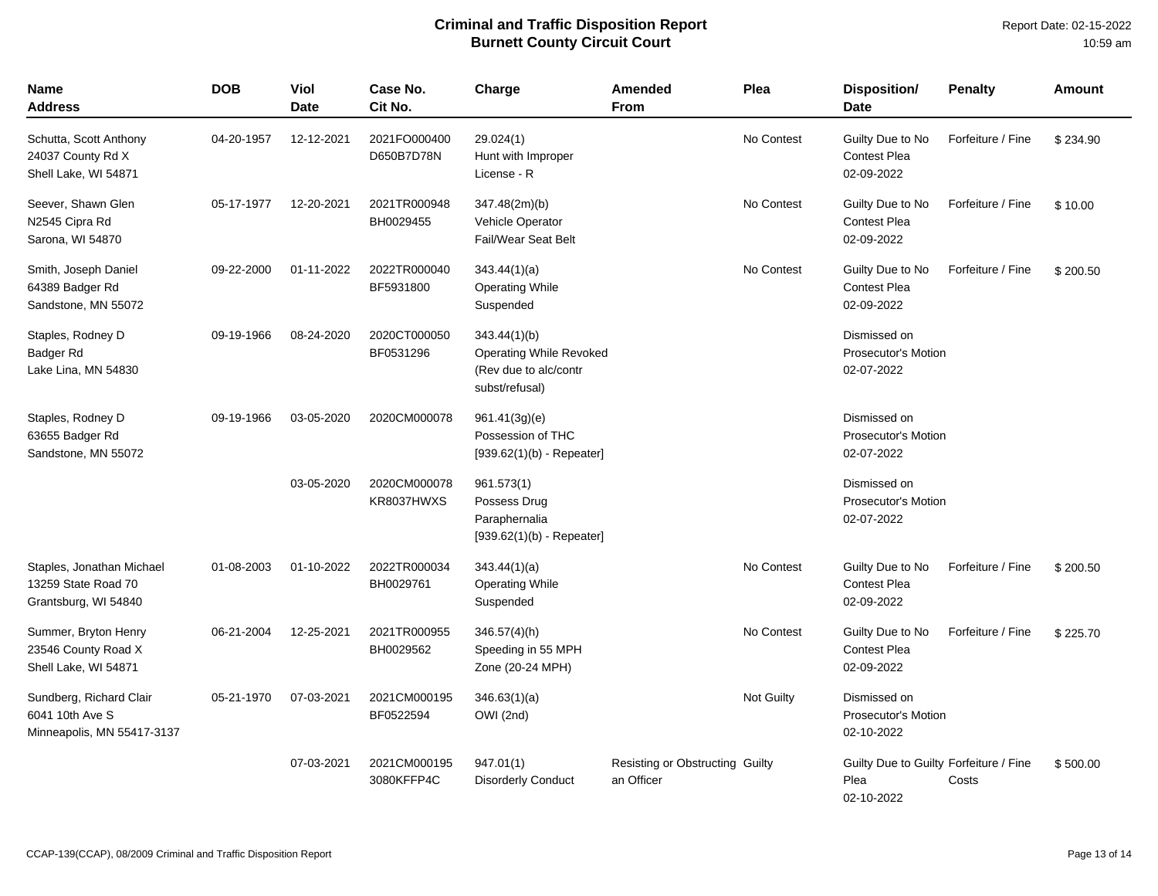| Name<br>Address                                                          | <b>DOB</b> | Viol<br><b>Date</b> | Case No.<br>Cit No.        | Charge                                                                                    | Amended<br><b>From</b>                        | Plea                                           | Disposition/<br><b>Date</b>                                  | <b>Penalty</b>    | <b>Amount</b> |
|--------------------------------------------------------------------------|------------|---------------------|----------------------------|-------------------------------------------------------------------------------------------|-----------------------------------------------|------------------------------------------------|--------------------------------------------------------------|-------------------|---------------|
| Schutta, Scott Anthony<br>24037 County Rd X<br>Shell Lake, WI 54871      | 04-20-1957 | 12-12-2021          | 2021FO000400<br>D650B7D78N | 29.024(1)<br>Hunt with Improper<br>License - R                                            |                                               | No Contest                                     | Guilty Due to No<br><b>Contest Plea</b><br>02-09-2022        | Forfeiture / Fine | \$234.90      |
| Seever, Shawn Glen<br>N2545 Cipra Rd<br>Sarona, WI 54870                 | 05-17-1977 | 12-20-2021          | 2021TR000948<br>BH0029455  | No Contest<br>347.48(2m)(b)<br>Vehicle Operator<br>Fail/Wear Seat Belt                    |                                               | Guilty Due to No<br>Contest Plea<br>02-09-2022 | Forfeiture / Fine                                            | \$10.00           |               |
| Smith, Joseph Daniel<br>64389 Badger Rd<br>Sandstone, MN 55072           | 09-22-2000 | 01-11-2022          | 2022TR000040<br>BF5931800  | No Contest<br>343.44(1)(a)<br><b>Operating While</b><br>Suspended                         |                                               | Guilty Due to No<br>Contest Plea<br>02-09-2022 | Forfeiture / Fine                                            | \$200.50          |               |
| Staples, Rodney D<br>Badger Rd<br>Lake Lina, MN 54830                    | 09-19-1966 | 08-24-2020          | 2020CT000050<br>BF0531296  | 343.44(1)(b)<br><b>Operating While Revoked</b><br>(Rev due to alc/contr<br>subst/refusal) |                                               |                                                | Dismissed on<br><b>Prosecutor's Motion</b><br>02-07-2022     |                   |               |
| Staples, Rodney D<br>63655 Badger Rd<br>Sandstone, MN 55072              | 09-19-1966 | 03-05-2020          | 2020CM000078               | 961.41(3g)(e)<br>Possession of THC<br>$[939.62(1)(b) - Repeater]$                         |                                               |                                                | Dismissed on<br>Prosecutor's Motion<br>02-07-2022            |                   |               |
|                                                                          |            | 03-05-2020          | 2020CM000078<br>KR8037HWXS | 961.573(1)<br>Possess Drug<br>Paraphernalia<br>$[939.62(1)(b) - Repeated]$                |                                               |                                                | Dismissed on<br>Prosecutor's Motion<br>02-07-2022            |                   |               |
| Staples, Jonathan Michael<br>13259 State Road 70<br>Grantsburg, WI 54840 | 01-08-2003 | 01-10-2022          | 2022TR000034<br>BH0029761  | 343.44(1)(a)<br><b>Operating While</b><br>Suspended                                       |                                               | No Contest                                     | Guilty Due to No<br>Contest Plea<br>02-09-2022               | Forfeiture / Fine | \$200.50      |
| Summer, Bryton Henry<br>23546 County Road X<br>Shell Lake, WI 54871      | 06-21-2004 | 12-25-2021          | 2021TR000955<br>BH0029562  | $346.57(4)$ (h)<br>Speeding in 55 MPH<br>Zone (20-24 MPH)                                 |                                               | No Contest                                     | Guilty Due to No<br><b>Contest Plea</b><br>02-09-2022        | Forfeiture / Fine | \$225.70      |
| Sundberg, Richard Clair<br>6041 10th Ave S<br>Minneapolis, MN 55417-3137 | 05-21-1970 | 07-03-2021          | 2021CM000195<br>BF0522594  | 346.63(1)(a)<br>OWI (2nd)                                                                 |                                               | Not Guilty                                     | Dismissed on<br><b>Prosecutor's Motion</b><br>02-10-2022     |                   |               |
|                                                                          |            | 07-03-2021          | 2021CM000195<br>3080KFFP4C | 947.01(1)<br><b>Disorderly Conduct</b>                                                    | Resisting or Obstructing Guilty<br>an Officer |                                                | Guilty Due to Guilty Forfeiture / Fine<br>Plea<br>02-10-2022 | Costs             | \$500.00      |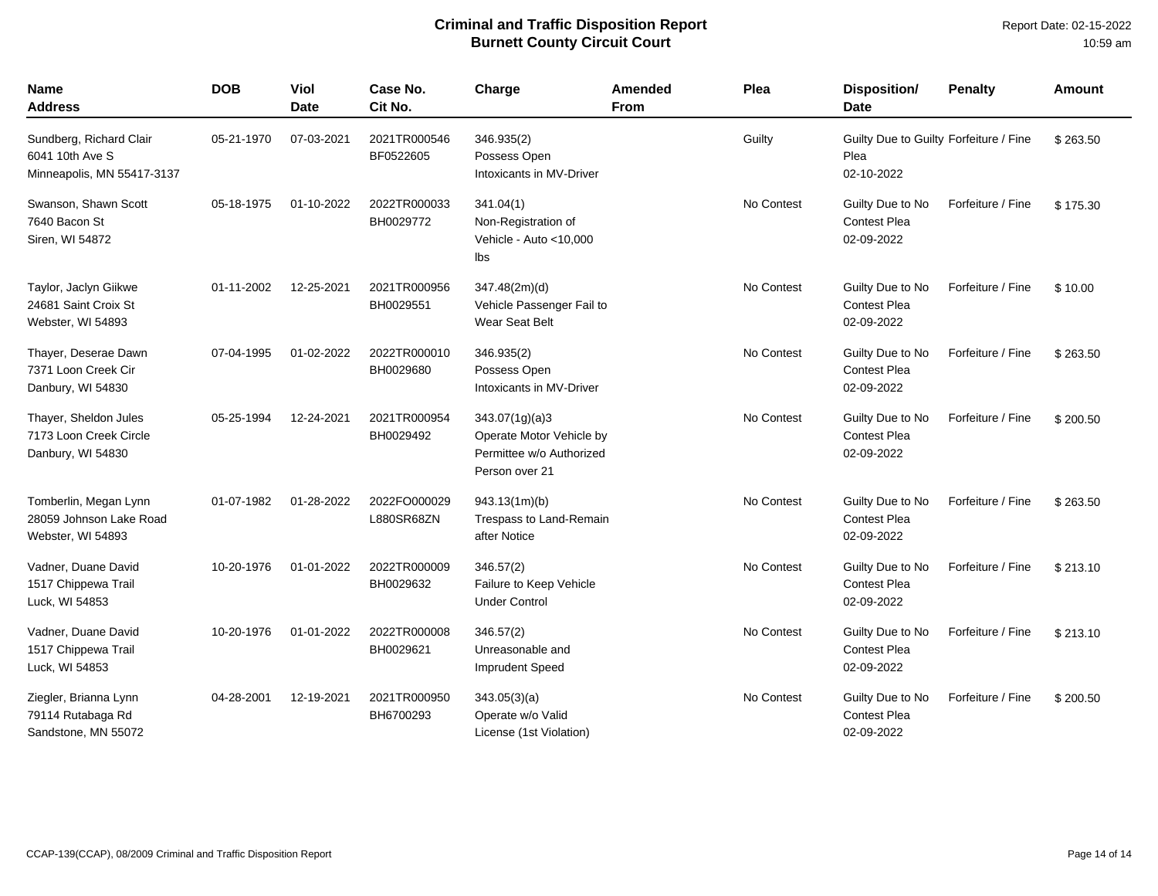| <b>Name</b><br><b>Address</b>                                            | <b>DOB</b> | <b>Viol</b><br>Date | Case No.<br>Cit No.        | Charge                                                                                   | Amended<br><b>From</b> | Plea       | Disposition/<br><b>Date</b>                                  | <b>Penalty</b>    | Amount   |
|--------------------------------------------------------------------------|------------|---------------------|----------------------------|------------------------------------------------------------------------------------------|------------------------|------------|--------------------------------------------------------------|-------------------|----------|
| Sundberg, Richard Clair<br>6041 10th Ave S<br>Minneapolis, MN 55417-3137 | 05-21-1970 | 07-03-2021          | 2021TR000546<br>BF0522605  | 346.935(2)<br>Possess Open<br>Intoxicants in MV-Driver                                   |                        | Guilty     | Guilty Due to Guilty Forfeiture / Fine<br>Plea<br>02-10-2022 |                   | \$263.50 |
| Swanson, Shawn Scott<br>7640 Bacon St<br>Siren, WI 54872                 | 05-18-1975 | 01-10-2022          | 2022TR000033<br>BH0029772  | 341.04(1)<br>Non-Registration of<br>Vehicle - Auto < 10,000<br>lbs                       |                        | No Contest | Guilty Due to No<br><b>Contest Plea</b><br>02-09-2022        | Forfeiture / Fine | \$175.30 |
| Taylor, Jaclyn Giikwe<br>24681 Saint Croix St<br>Webster, WI 54893       | 01-11-2002 | 12-25-2021          | 2021TR000956<br>BH0029551  | 347.48(2m)(d)<br>Vehicle Passenger Fail to<br>Wear Seat Belt                             |                        | No Contest | Guilty Due to No<br><b>Contest Plea</b><br>02-09-2022        | Forfeiture / Fine | \$10.00  |
| Thayer, Deserae Dawn<br>7371 Loon Creek Cir<br>Danbury, WI 54830         | 07-04-1995 | 01-02-2022          | 2022TR000010<br>BH0029680  | 346.935(2)<br>Possess Open<br>Intoxicants in MV-Driver                                   |                        | No Contest | Guilty Due to No<br><b>Contest Plea</b><br>02-09-2022        | Forfeiture / Fine | \$263.50 |
| Thayer, Sheldon Jules<br>7173 Loon Creek Circle<br>Danbury, WI 54830     | 05-25-1994 | 12-24-2021          | 2021TR000954<br>BH0029492  | 343.07(1g)(a)3<br>Operate Motor Vehicle by<br>Permittee w/o Authorized<br>Person over 21 |                        | No Contest | Guilty Due to No<br><b>Contest Plea</b><br>02-09-2022        | Forfeiture / Fine | \$200.50 |
| Tomberlin, Megan Lynn<br>28059 Johnson Lake Road<br>Webster, WI 54893    | 01-07-1982 | 01-28-2022          | 2022FO000029<br>L880SR68ZN | 943.13(1m)(b)<br>Trespass to Land-Remain<br>after Notice                                 |                        | No Contest | Guilty Due to No<br><b>Contest Plea</b><br>02-09-2022        | Forfeiture / Fine | \$263.50 |
| Vadner, Duane David<br>1517 Chippewa Trail<br>Luck, WI 54853             | 10-20-1976 | 01-01-2022          | 2022TR000009<br>BH0029632  | 346.57(2)<br>Failure to Keep Vehicle<br><b>Under Control</b>                             |                        | No Contest | Guilty Due to No<br>Contest Plea<br>02-09-2022               | Forfeiture / Fine | \$213.10 |
| Vadner, Duane David<br>1517 Chippewa Trail<br>Luck, WI 54853             | 10-20-1976 | 01-01-2022          | 2022TR000008<br>BH0029621  | 346.57(2)<br>Unreasonable and<br><b>Imprudent Speed</b>                                  |                        | No Contest | Guilty Due to No<br><b>Contest Plea</b><br>02-09-2022        | Forfeiture / Fine | \$213.10 |
| Ziegler, Brianna Lynn<br>79114 Rutabaga Rd<br>Sandstone, MN 55072        | 04-28-2001 | 12-19-2021          | 2021TR000950<br>BH6700293  | 343.05(3)(a)<br>Operate w/o Valid<br>License (1st Violation)                             |                        | No Contest | Guilty Due to No<br><b>Contest Plea</b><br>02-09-2022        | Forfeiture / Fine | \$200.50 |